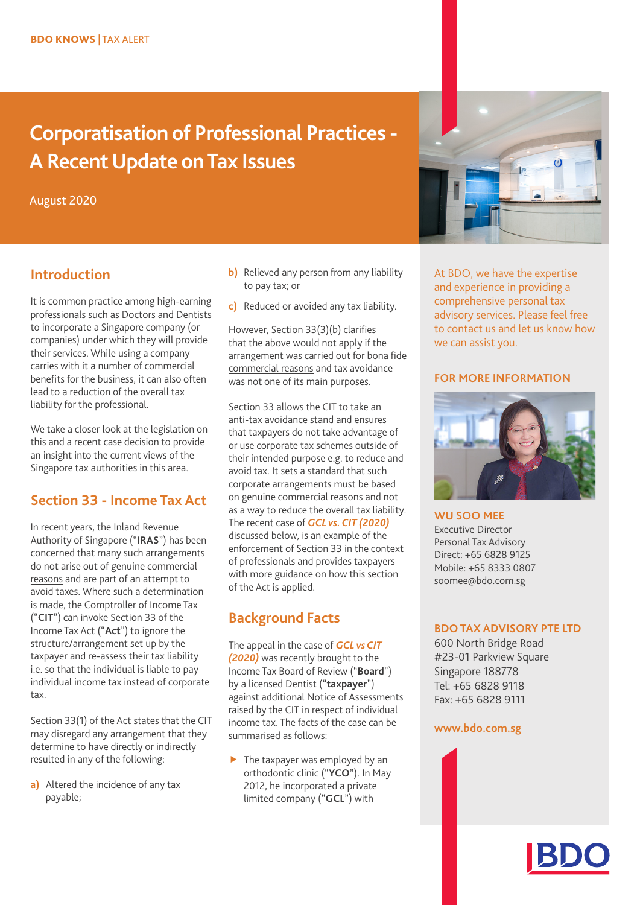# **Corporatisation of Professional Practices - A Recent Update on Tax Issues**

August 2020

# **Introduction**

It is common practice among high-earning professionals such as Doctors and Dentists to incorporate a Singapore company (or companies) under which they will provide their services. While using a company carries with it a number of commercial benefits for the business, it can also often lead to a reduction of the overall tax liability for the professional.

We take a closer look at the legislation on this and a recent case decision to provide an insight into the current views of the Singapore tax authorities in this area.

# **Section 33 - Income Tax Act**

In recent years, the Inland Revenue Authority of Singapore ("**IRAS**") has been concerned that many such arrangements do not arise out of genuine commercial reasons and are part of an attempt to avoid taxes. Where such a determination is made, the Comptroller of Income Tax ("**CIT**") can invoke Section 33 of the Income Tax Act ("**Act**") to ignore the structure/arrangement set up by the taxpayer and re-assess their tax liability i.e. so that the individual is liable to pay individual income tax instead of corporate tax.

Section 33(1) of the Act states that the CIT may disregard any arrangement that they determine to have directly or indirectly resulted in any of the following:

**a)** Altered the incidence of any tax payable;

- **b)** Relieved any person from any liability to pay tax; or
- **c)** Reduced or avoided any tax liability.

However, Section 33(3)(b) clarifies that the above would not apply if the arrangement was carried out for bona fide commercial reasons and tax avoidance was not one of its main purposes.

Section 33 allows the CIT to take an anti-tax avoidance stand and ensures that taxpayers do not take advantage of or use corporate tax schemes outside of their intended purpose e.g. to reduce and avoid tax. It sets a standard that such corporate arrangements must be based on genuine commercial reasons and not as a way to reduce the overall tax liability. The recent case of *GCL vs. CIT (2020)* discussed below, is an example of the enforcement of Section 33 in the context of professionals and provides taxpayers with more guidance on how this section of the Act is applied.

# **Background Facts**

The appeal in the case of *GCL vs CIT (2020)* was recently brought to the Income Tax Board of Review ("**Board**") by a licensed Dentist ("**taxpayer**") against additional Notice of Assessments raised by the CIT in respect of individual income tax. The facts of the case can be summarised as follows:

 $\blacktriangleright$  The taxpayer was employed by an orthodontic clinic ("**YCO**"). In May 2012, he incorporated a private limited company ("**GCL**") with

# **INSERT IMAGE**

At BDO, we have the expertise and experience in providing a comprehensive personal tax advisory services. Please feel free to contact us and let us know how we can assist you.

#### **FOR MORE INFORMATION**



## **WU SOO MEE**

Executive Director Personal Tax Advisory Direct: +65 6828 9125 Mobile: +65 8333 0807 soomee@bdo.com.sg

#### **BDO TAX ADVISORY PTE LTD**

600 North Bridge Road #23-01 Parkview Square Singapore 188778 Tel: +65 6828 9118 Fax: +65 6828 9111

#### **[www.bdo.com.sg](https://www.bdo.com.sg)**

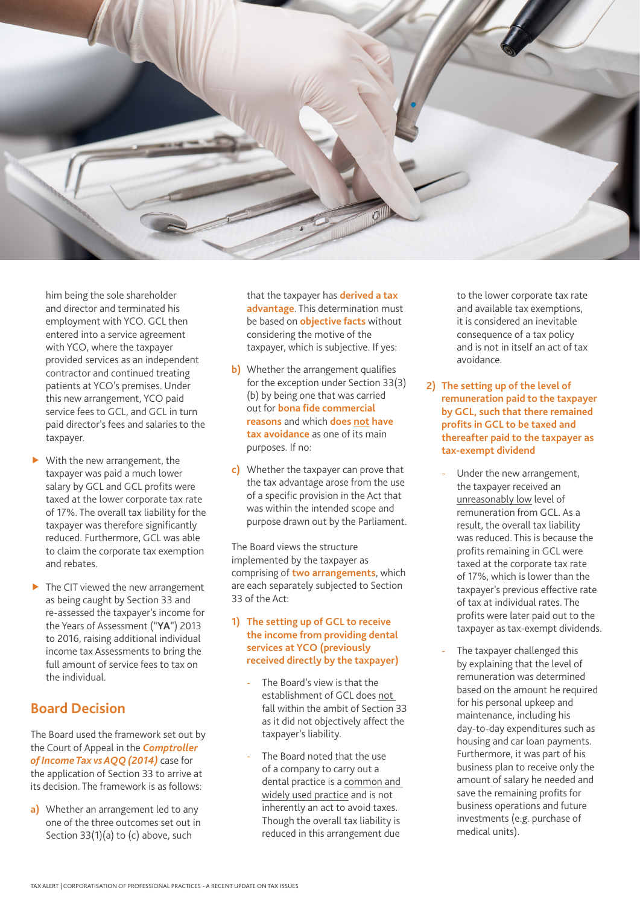

him being the sole shareholder and director and terminated his employment with YCO. GCL then entered into a service agreement with YCO, where the taxpayer provided services as an independent contractor and continued treating patients at YCO's premises. Under this new arrangement, YCO paid service fees to GCL, and GCL in turn paid director's fees and salaries to the taxpayer.

- $\blacktriangleright$  With the new arrangement, the taxpayer was paid a much lower salary by GCL and GCL profits were taxed at the lower corporate tax rate of 17%. The overall tax liability for the taxpayer was therefore significantly reduced. Furthermore, GCL was able to claim the corporate tax exemption and rebates.
- $\blacktriangleright$  The CIT viewed the new arrangement as being caught by Section 33 and re-assessed the taxpayer's income for the Years of Assessment ("**YA**") 2013 to 2016, raising additional individual income tax Assessments to bring the full amount of service fees to tax on the individual.

# **Board Decision**

The Board used the framework set out by the Court of Appeal in the *Comptroller of Income Tax vs AQQ (2014)* case for the application of Section 33 to arrive at its decision. The framework is as follows:

**a)** Whether an arrangement led to any one of the three outcomes set out in Section 33(1)(a) to (c) above, such

that the taxpayer has **derived a tax advantage**. This determination must be based on **objective facts** without considering the motive of the taxpayer, which is subjective. If yes:

- **b)** Whether the arrangement qualifies for the exception under Section 33(3) (b) by being one that was carried out for **bona fide commercial reasons** and which **does not have tax avoidance** as one of its main purposes. If no:
- **c)** Whether the taxpayer can prove that the tax advantage arose from the use of a specific provision in the Act that was within the intended scope and purpose drawn out by the Parliament.

The Board views the structure implemented by the taxpayer as comprising of **two arrangements**, which are each separately subjected to Section 33 of the Act:

#### **1) The setting up of GCL to receive the income from providing dental services at YCO (previously received directly by the taxpayer)**

- The Board's view is that the establishment of GCL does not fall within the ambit of Section 33 as it did not objectively affect the taxpayer's liability.
- The Board noted that the use of a company to carry out a dental practice is a common and widely used practice and is not inherently an act to avoid taxes. Though the overall tax liability is reduced in this arrangement due

to the lower corporate tax rate and available tax exemptions, it is considered an inevitable consequence of a tax policy and is not in itself an act of tax avoidance.

- **2) The setting up of the level of remuneration paid to the taxpayer by GCL, such that there remained profits in GCL to be taxed and thereafter paid to the taxpayer as tax-exempt dividend**
	- Under the new arrangement, the taxpayer received an unreasonably low level of remuneration from GCL. As a result, the overall tax liability was reduced. This is because the profits remaining in GCL were taxed at the corporate tax rate of 17%, which is lower than the taxpayer's previous effective rate of tax at individual rates. The profits were later paid out to the taxpayer as tax-exempt dividends.
	- The taxpayer challenged this by explaining that the level of remuneration was determined based on the amount he required for his personal upkeep and maintenance, including his day-to-day expenditures such as housing and car loan payments. Furthermore, it was part of his business plan to receive only the amount of salary he needed and save the remaining profits for business operations and future investments (e.g. purchase of medical units).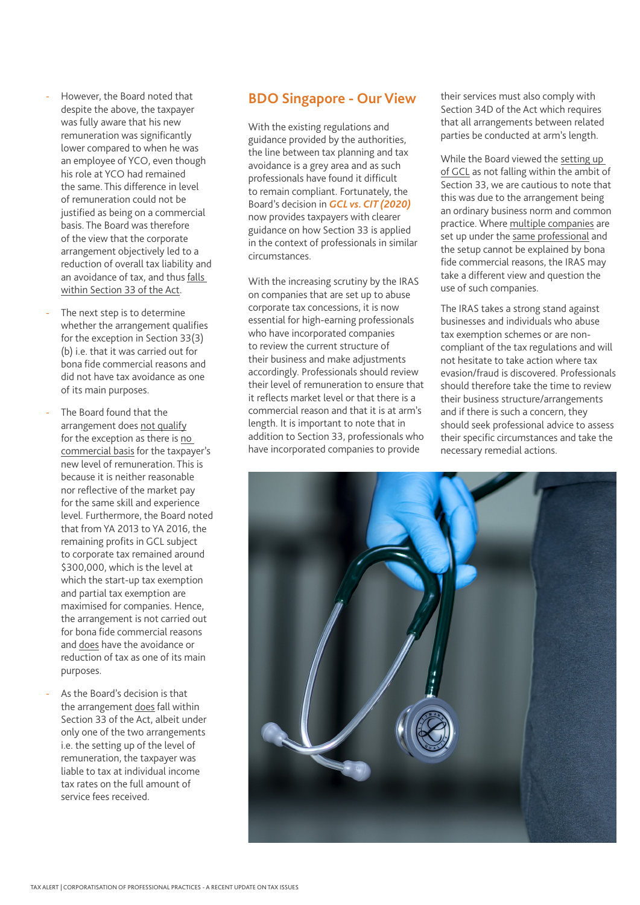- However, the Board noted that despite the above, the taxpayer was fully aware that his new remuneration was significantly lower compared to when he was an employee of YCO, even though his role at YCO had remained the same. This difference in level of remuneration could not be justified as being on a commercial basis. The Board was therefore of the view that the corporate arrangement objectively led to a reduction of overall tax liability and an avoidance of tax, and thus falls within Section 33 of the Act.
- The next step is to determine whether the arrangement qualifies for the exception in Section 33(3) (b) i.e. that it was carried out for bona fide commercial reasons and did not have tax avoidance as one of its main purposes.
- The Board found that the arrangement does not qualify for the exception as there is no commercial basis for the taxpayer's new level of remuneration. This is because it is neither reasonable nor reflective of the market pay for the same skill and experience level. Furthermore, the Board noted that from YA 2013 to YA 2016, the remaining profits in GCL subject to corporate tax remained around \$300,000, which is the level at which the start-up tax exemption and partial tax exemption are maximised for companies. Hence, the arrangement is not carried out for bona fide commercial reasons and does have the avoidance or reduction of tax as one of its main purposes.
- As the Board's decision is that the arrangement does fall within Section 33 of the Act, albeit under only one of the two arrangements i.e. the setting up of the level of remuneration, the taxpayer was liable to tax at individual income tax rates on the full amount of service fees received.

### **BDO Singapore - Our View**

With the existing regulations and guidance provided by the authorities, the line between tax planning and tax avoidance is a grey area and as such professionals have found it difficult to remain compliant. Fortunately, the Board's decision in *GCL vs. CIT (2020)* now provides taxpayers with clearer guidance on how Section 33 is applied in the context of professionals in similar circumstances.

With the increasing scrutiny by the IRAS on companies that are set up to abuse corporate tax concessions, it is now essential for high-earning professionals who have incorporated companies to review the current structure of their business and make adjustments accordingly. Professionals should review their level of remuneration to ensure that it reflects market level or that there is a commercial reason and that it is at arm's length. It is important to note that in addition to Section 33, professionals who have incorporated companies to provide

their services must also comply with Section 34D of the Act which requires that all arrangements between related parties be conducted at arm's length.

While the Board viewed the setting up of GCL as not falling within the ambit of Section 33, we are cautious to note that this was due to the arrangement being an ordinary business norm and common practice. Where multiple companies are set up under the same professional and the setup cannot be explained by bona fide commercial reasons, the IRAS may take a different view and question the use of such companies.

The IRAS takes a strong stand against businesses and individuals who abuse tax exemption schemes or are noncompliant of the tax regulations and will not hesitate to take action where tax evasion/fraud is discovered. Professionals should therefore take the time to review their business structure/arrangements and if there is such a concern, they should seek professional advice to assess their specific circumstances and take the necessary remedial actions.